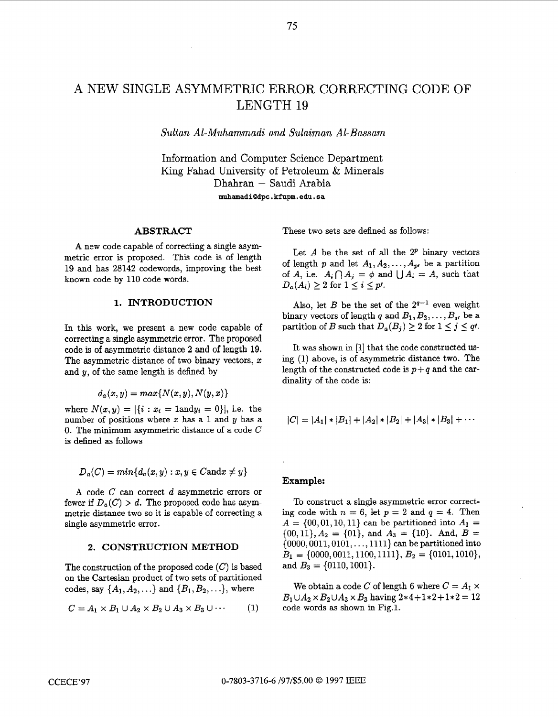# A NEW SINGLE ASYMMETRIC ERROR CORRECTING CODE OF LENGTH 19

*Sultan Al-Muhammadi and Sulaiman Al- Bassam* 

Information and Computer Science Department King Fahad University of Petroleum & Minerals Dhahran - Saudi Arabia **muhamadi(9dpc.kfupm.edu.sa** 

# **ABSTRACT**

**A** new code capable of correcting a single asymmetric error is proposed. This code is of length **19** and has **28142** codewords, improving the best known code by **110** code words.

#### **1. INTRODUCTION**

In this work, we present a new code capable of correcting a single asymmetric error. The proposed code is of asymmetric distance **2** and of length 19. The asymmetric distance of two binary vectors,  $x$ and  $y$ , of the same length is defined by

$$
d_a(x,y)=max\{N(x,y),N(y,x)\}
$$

where  $N(x, y) = |\{i : x_i = 1 \text{ and } y_i = 0\}|$ , i.e. the number of positions where  $x$  has a 1 and  $y$  has a *0.* The minimum asymmetric distance of a code *C*  is defined **as** follows

$$
D_a(C) = min\{d_a(x,y) : x, y \in C \text{and} x \neq y\}
$$

**A** code *C* can correct *d* asymmetric errors or fewer if  $D_a(C) > d$ . The proposed code has asymmetric distance two so it is capable of correcting a single asymmetric error.

#### **2. CONSTRUCTION METHOD**

The construction of the proposed code  $(C)$  is based on the Cartesian product of two sets of partitioned codes, say  $\{A_1, A_2, ...\}$  and  $\{B_1, B_2, ...\}$ , where

$$
C = A_1 \times B_1 \cup A_2 \times B_2 \cup A_3 \times B_3 \cup \cdots
$$
 (1)

These two sets are defined **as** follows:

Let  $A$  be the set of all the  $2^p$  binary vectors of length *p* and let  $A_1, A_2, \ldots, A_{p}$  be a partition of *A*, i.e.  $A_i \cap A_j = \phi$  and  $\bigcup A_i = A$ , such that  $D_a(A_i) \geq 2$  for  $1 \leq i \leq p$ .

Also, let *B* be the set of the  $2^{q-1}$  even weight binary vectors of length *q* and  $B_1, B_2, \ldots, B_q$ , be a partition of *B* such that  $D_a(B_i) \geq 2$  for  $1 \leq j \leq q$ .

It was shown in **[l]** that the code constructed **us**ing **(1)** above, is **of** asymmetric distance two. The length of the constructed code is  $p+q$  and the cardinality of the code is:

$$
|C| = |A_1| * |B_1| + |A_2| * |B_2| + |A_3| * |B_3| + \cdots
$$

#### **Example:**

To construct **a** single asymmetric error correcting code with  $n = 6$ , let  $p = 2$  and  $q = 4$ . Then  $A = \{00, 01, 10, 11\}$  can be partitioned into  $A_1 =$  $\{00, 11\}, A_2 = \{01\}, \text{ and } A_3 = \{10\}. \text{ And, } B =$ **(0000,0011,0101,.** . . **,1111)** can be partitioned into  $B_1 = \{0000, 0011, 1100, 1111\}, B_2 = \{0101, 1010\},$ and  $B_3 = \{0110, 1001\}.$ 

We obtain a code C of length 6 where  $C = A_1 \times$  $B_1 \cup A_2 \times B_2 \cup A_3 \times B_3$  having  $2*4+1*2+1*2 = 12$ code words **as** shown in Fig.1.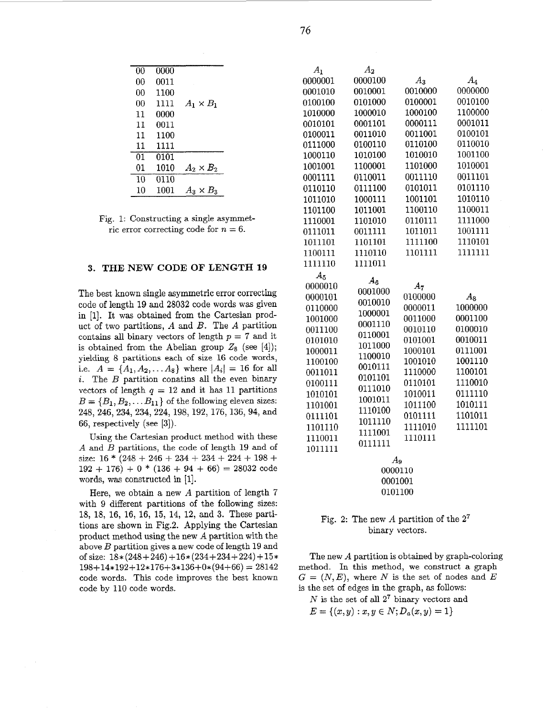| 00 | 0000 |                                  |
|----|------|----------------------------------|
| 00 | 0011 |                                  |
| 00 | 1100 |                                  |
| 00 | 1111 | $A_1 \times B_1$                 |
| 11 | 0000 |                                  |
| 11 | 0011 |                                  |
| 11 | 1100 |                                  |
| 11 | 1111 |                                  |
| 01 | 0101 |                                  |
| 01 | 1010 | $A_2 \times B_2$                 |
| 10 | 0110 |                                  |
| 10 | 1001 | $\rm l_{\rm x} \times B_{\rm z}$ |

Fig. 1: Constructing a single asymmetric error correcting code for  $n = 6$ .

#### **3. THE NEW CODE OF LENGTH 19**

The best known single asymmetric error correcting code of length 19 and **28032** code words was given in [l]. It **was** obtained from the Cartesian product of two partitions, *A* and *B.* The *A* partition contains all binary vectors of length *p* = **7** and it is obtained from the Abelian group  $Z_8$  (see [4]); yielding 8 partitions each of size 16 code words, i.e.  $A = \{A_1, A_2, \ldots A_8\}$  where  $|A_i| = 16$  for all *i.* The *B* partition conatins all the even binary vectors of length  $q = 12$  and it has 11 partitions  $B = \{B_1, B_2, \ldots B_{11}\}$  of the following eleven sizes: 248, 246, 234, 234, 224, 198,192, 176,136,94, and 66, respectively (see *[3]).* 

Using the Cartesian product method with these *A* and *B* partitions, the code of length 19 and of size:  $16 * (248 + 246 + 234 + 234 + 224 + 198 +$  $192 + 176$  + 0  $*$   $(136 + 94 + 66) = 28032$  code words, was constructed in [1].

Here, we obtain a new *A* partition of length 7 with 9 different partitions of the following sizes: 18, 18, 16, 16, 16, 15, **14, 12,** and **3.** These partitions are shown in Fig.2. Applying the Cartesian product method using the new *A* partition with the above *B* partition gives a new code of length 19 and of size:  $18*(248+246) +16*(234+234+224) +15*$  $198+14*192+12*176+3*136+0*(94+66) = 28142$ code words. This code improves the best known code by 110 code words.

| $A_1$   | $A_2$   |         |         |
|---------|---------|---------|---------|
| 0000001 | 0000100 | $A_3$   | $A_4$   |
| 0001010 | 0010001 | 0010000 | 0000000 |
| 0100100 | 0101000 | 0100001 | 0010100 |
| 1010000 | 1000010 | 1000100 | 1100000 |
| 0010101 | 0001101 | 0000111 | 0001011 |
| 0100011 | 0011010 | 0011001 | 0100101 |
| 0111000 | 0100110 | 0110100 | 0110010 |
| 1000110 | 1010100 | 1010010 | 1001100 |
| 1001001 | 1100001 | 1101000 | 1010001 |
| 0001111 | 0110011 | 0011110 | 0011101 |
| 0110110 | 0111100 | 0101011 | 0101110 |
| 1011010 | 1000111 | 1001101 | 1010110 |
| 1101100 | 1011001 | 1100110 | 1100011 |
| 1110001 | 1101010 | 0110111 | 1111000 |
| 0111011 | 0011111 | 1011011 | 1001111 |
| 1011101 | 1101101 | 1111100 | 1110101 |
| 1100111 | 1110110 | 1101111 | 1111111 |
| 1111110 | 1111011 |         |         |
| $A_5$   | $A_6$   |         |         |
| 0000010 | 0001000 | $A_7$   |         |
| 0000101 | 0010010 | 0100000 | $A_8$   |
| 0110000 | 1000001 | 0000011 | 1000000 |
| 1001000 | 0001110 | 0011000 | 0001100 |
| 0011100 | 0110001 | 0010110 | 0100010 |
| 0101010 | 1011000 | 0101001 | 0010011 |
| 1000011 | 1100010 | 1000101 | 0111001 |
| 1100100 | 0010111 | 1001010 | 1001110 |
| 0011011 | 0101101 | 1110000 | 1100101 |
| 0100111 | 0111010 | 0110101 | 1110010 |
| 1010101 | 1001011 | 1010011 | 0111110 |
| 1101001 | 1110100 | 1011100 | 1010111 |
| 0111101 | 1011110 | 0101111 | 1101011 |
| 1101110 | 1111001 | 1111010 | 1111101 |
| 1110011 | 0111111 | 1110111 |         |
| 1011111 |         |         |         |
|         |         | А.      |         |

| Aq      |
|---------|
| 0000110 |
| 0001001 |
| 0101100 |

## Fig. **2:** The new *A* partition of the **27**  binary vectors.

The new *A* partition is obtained by graph-coloring method. In this method, we construct a graph  $G = (N, E)$ , where N is the set of nodes and E is the set of edges in the graph, **as** follows:

*N* is the set of all **27** binary vectors and  $E=\{(x,y):x,y\in N;D_a(x,y)=1\}$